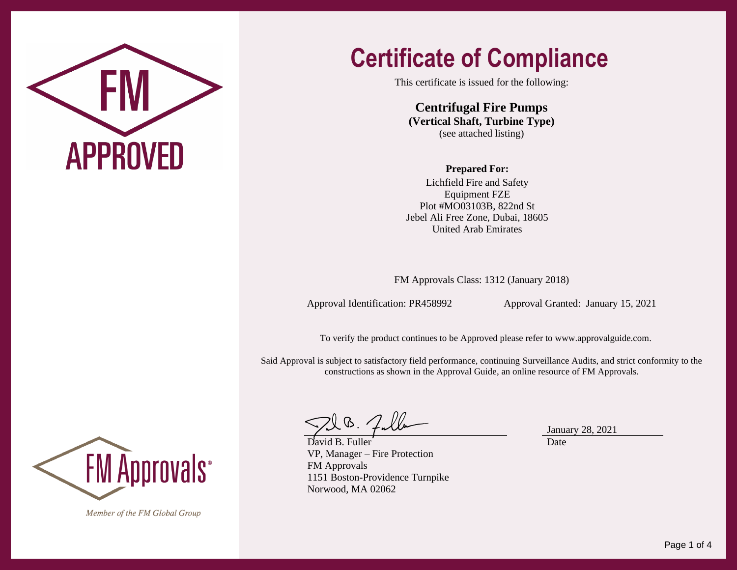

### **Certificate of Compliance**

This certificate is issued for the following:

**Centrifugal Fire Pumps (Vertical Shaft, Turbine Type)** (see attached listing)

#### **Prepared For:**

Lichfield Fire and Safety Equipment FZE Plot #MO03103B, 822nd St Jebel Ali Free Zone, Dubai, 18605 United Arab Emirates

FM Approvals Class: 1312 (January 2018)

Approval Identification: PR458992 Approval Granted: January 15, 2021

To verify the product continues to be Approved please refer to [www.approvalguide.com.](http://www.approvalguide.com/)

Said Approval is subject to satisfactory field performance, continuing Surveillance Audits, and strict conformity to the constructions as shown in the Approval Guide, an online resource of FM Approvals.

David B. Fuller VP, Manager – Fire Protection FM Approvals 1151 Boston-Providence Turnpike Norwood, MA 02062

January 28, 2021 Date



Member of the FM Global Group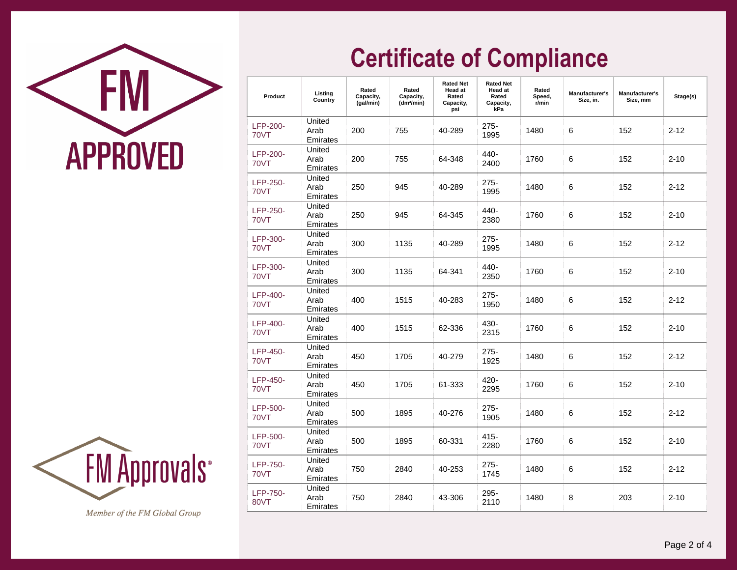



Member of the FM Global Group

# **Certificate of Compliance**

| Product                 | Listing<br>Country         | Rated<br>Capacity,<br>(gal/min) | Rated<br>Capacity,<br>(dm <sup>3</sup> /min) | <b>Rated Net</b><br>Head at<br>Rated<br>Capacity,<br>psi | <b>Rated Net</b><br><b>Head at</b><br>Rated<br>Capacity,<br>kPa | Rated<br>Speed,<br>r/min | Manufacturer's<br>Size, in. | Manufacturer's<br>Size, mm | Stage(s) |
|-------------------------|----------------------------|---------------------------------|----------------------------------------------|----------------------------------------------------------|-----------------------------------------------------------------|--------------------------|-----------------------------|----------------------------|----------|
| LFP-200-<br><b>70VT</b> | United<br>Arab<br>Emirates | 200                             | 755                                          | 40-289                                                   | 275-<br>1995                                                    | 1480                     | 6                           | 152                        | $2 - 12$ |
| LFP-200-<br><b>70VT</b> | United<br>Arab<br>Emirates | 200                             | 755                                          | 64-348                                                   | 440-<br>2400                                                    | 1760                     | 6                           | 152                        | $2 - 10$ |
| LFP-250-<br><b>70VT</b> | United<br>Arab<br>Emirates | 250                             | 945                                          | 40-289                                                   | 275-<br>1995                                                    | 1480                     | 6                           | 152                        | $2 - 12$ |
| LFP-250-<br><b>70VT</b> | United<br>Arab<br>Emirates | 250                             | 945                                          | 64-345                                                   | 440-<br>2380                                                    | 1760                     | 6                           | 152                        | $2 - 10$ |
| LFP-300-<br><b>70VT</b> | United<br>Arab<br>Emirates | 300                             | 1135                                         | 40-289                                                   | 275-<br>1995                                                    | 1480                     | 6                           | 152                        | $2 - 12$ |
| LFP-300-<br><b>70VT</b> | United<br>Arab<br>Emirates | 300                             | 1135                                         | 64-341                                                   | 440-<br>2350                                                    | 1760                     | 6                           | 152                        | $2 - 10$ |
| LFP-400-<br>70VT        | United<br>Arab<br>Emirates | 400                             | 1515                                         | 40-283                                                   | $275 -$<br>1950                                                 | 1480                     | 6                           | 152                        | $2 - 12$ |
| LFP-400-<br><b>70VT</b> | United<br>Arab<br>Emirates | 400                             | 1515                                         | 62-336                                                   | 430-<br>2315                                                    | 1760                     | 6                           | 152                        | $2 - 10$ |
| LFP-450-<br><b>70VT</b> | United<br>Arab<br>Emirates | 450                             | 1705                                         | 40-279                                                   | $275 -$<br>1925                                                 | 1480                     | 6                           | 152                        | $2 - 12$ |
| LFP-450-<br><b>70VT</b> | United<br>Arab<br>Emirates | 450                             | 1705                                         | 61-333                                                   | 420-<br>2295                                                    | 1760                     | 6                           | 152                        | $2 - 10$ |
| LFP-500-<br><b>70VT</b> | United<br>Arab<br>Emirates | 500                             | 1895                                         | 40-276                                                   | 275-<br>1905                                                    | 1480                     | 6                           | 152                        | $2 - 12$ |
| LFP-500-<br><b>70VT</b> | United<br>Arab<br>Emirates | 500                             | 1895                                         | 60-331                                                   | 415-<br>2280                                                    | 1760                     | 6                           | 152                        | $2 - 10$ |
| <b>LFP-750-</b><br>70VT | United<br>Arab<br>Emirates | 750                             | 2840                                         | 40-253                                                   | 275-<br>1745                                                    | 1480                     | 6                           | 152                        | $2 - 12$ |
| <b>LFP-750-</b><br>80VT | United<br>Arab<br>Emirates | 750                             | 2840                                         | 43-306                                                   | 295-<br>2110                                                    | 1480                     | 8                           | 203                        | $2 - 10$ |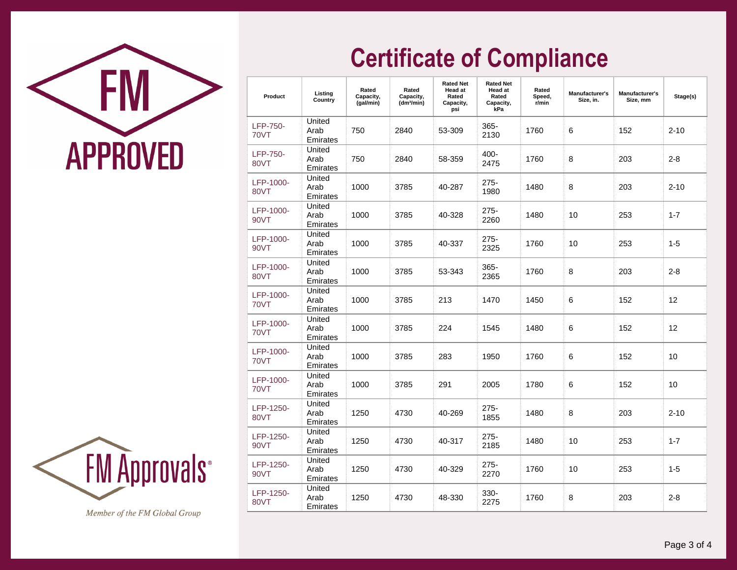



Member of the FM Global Group

# **Certificate of Compliance**

| Product                        | Listing<br>Country         | Rated<br>Capacity,<br>(gal/min) | Rated<br>Capacity,<br>(dm <sup>3</sup> /min) | <b>Rated Net</b><br><b>Head at</b><br>Rated<br>Capacity,<br>psi | <b>Rated Net</b><br><b>Head at</b><br>Rated<br>Capacity,<br>kPa | Rated<br>Speed,<br>r/min | <b>Manufacturer's</b><br>Size, in. | Manufacturer's<br>Size, mm | Stage(s) |
|--------------------------------|----------------------------|---------------------------------|----------------------------------------------|-----------------------------------------------------------------|-----------------------------------------------------------------|--------------------------|------------------------------------|----------------------------|----------|
| <b>LFP-750-</b><br><b>70VT</b> | United<br>Arab<br>Emirates | 750                             | 2840                                         | 53-309                                                          | 365-<br>2130                                                    | 1760                     | 6                                  | 152                        | $2 - 10$ |
| <b>LFP-750-</b><br>80VT        | United<br>Arab<br>Emirates | 750                             | 2840                                         | 58-359                                                          | 400-<br>2475                                                    | 1760                     | 8                                  | 203                        | $2 - 8$  |
| LFP-1000-<br>80VT              | United<br>Arab<br>Emirates | 1000                            | 3785                                         | 40-287                                                          | 275-<br>1980                                                    | 1480                     | 8                                  | 203                        | $2 - 10$ |
| LFP-1000-<br>90VT              | United<br>Arab<br>Emirates | 1000                            | 3785                                         | 40-328                                                          | $275 -$<br>2260                                                 | 1480                     | 10                                 | 253                        | $1 - 7$  |
| LFP-1000-<br><b>90VT</b>       | United<br>Arab<br>Emirates | 1000                            | 3785                                         | 40-337                                                          | $275 -$<br>2325                                                 | 1760                     | 10                                 | 253                        | $1 - 5$  |
| LFP-1000-<br>80VT              | United<br>Arab<br>Emirates | 1000                            | 3785                                         | 53-343                                                          | 365-<br>2365                                                    | 1760                     | 8                                  | 203                        | $2 - 8$  |
| LFP-1000-<br>70VT              | United<br>Arab<br>Emirates | 1000                            | 3785                                         | 213                                                             | 1470                                                            | 1450                     | 6                                  | 152                        | 12       |
| LFP-1000-<br><b>70VT</b>       | United<br>Arab<br>Emirates | 1000                            | 3785                                         | 224                                                             | 1545                                                            | 1480                     | 6                                  | 152                        | 12       |
| LFP-1000-<br>70VT              | United<br>Arab<br>Emirates | 1000                            | 3785                                         | 283                                                             | 1950                                                            | 1760                     | 6                                  | 152                        | 10       |
| LFP-1000-<br>70VT              | United<br>Arab<br>Emirates | 1000                            | 3785                                         | 291                                                             | 2005                                                            | 1780                     | 6                                  | 152                        | 10       |
| LFP-1250-<br>80VT              | United<br>Arab<br>Emirates | 1250                            | 4730                                         | 40-269                                                          | $275 -$<br>1855                                                 | 1480                     | 8                                  | 203                        | $2 - 10$ |
| LFP-1250-<br>90VT              | United<br>Arab<br>Emirates | 1250                            | 4730                                         | 40-317                                                          | 275-<br>2185                                                    | 1480                     | 10                                 | 253                        | $1 - 7$  |
| LFP-1250-<br>90VT              | United<br>Arab<br>Emirates | 1250                            | 4730                                         | 40-329                                                          | 275-<br>2270                                                    | 1760                     | 10                                 | 253                        | $1 - 5$  |
| LFP-1250-<br>80VT              | United<br>Arab<br>Emirates | 1250                            | 4730                                         | 48-330                                                          | 330-<br>2275                                                    | 1760                     | 8                                  | 203                        | $2 - 8$  |